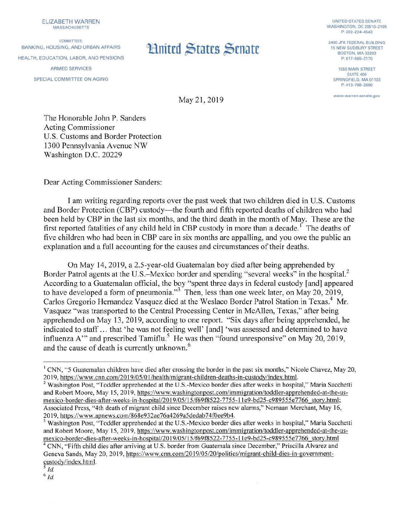ELIZABETH WARREN

COMMITTEES: BANKING, HOUSING, AND URBAN AFFAIRS HEALTH, EDUCATION. LABOR, AND PENSIONS ARMED SERVICES SPECIAL COMMITIEE ON AGING

## **Limited States Senate**

UNITED STATES SENATE WASHINGTON, DC 20510-2105 P: 202- 224-4543

2400 JFK FEDERAL BUILDING 15 NEW SUDBURY STREET BOSTON, MA 02203 P: 617-565-3170

> 1550 MAIN STREET SUITE 406 SPRINGFIELD, MA 01103 P: 413-788-2690

**www warren.senate.gov** 

May 21, 2019

The Honorable John P. Sanders Acting Commissioner U.S. Customs and Border Protection 1300 Pennsylvania A venue NW Washington D.C. 20229

Dear Acting Commissioner Sanders:

I am writing regarding reports over the past week that two children died in U.S. Customs and Border Protection (CBP) custody—the fourth and fifth reported deaths of children who had been held by CBP in the last six months, and the third death in the month of May. These are the first reported fatalities of any child held in CBP custody in more than a decade.<sup>1</sup> The deaths of five children who had been in CBP care in six months are appalling, and you owe the public an explanation and a full accounting for the causes and circumstances of their deaths.

On May 14, 2019, a 2.5-year-old Guatemalan boy died after being apprehended by Border Patrol agents at the U.S.–Mexico border and spending "several weeks" in the hospital.<sup>2</sup> According to a Guatemalan official, the boy "spent three days in federal custody [and] appeared to have developed a form of pneumonia."<sup>3</sup> Then, less than one week later, on May 20, 2019, Carlos Gregorio Hernandez Vasquez died at the Weslaco Border Patrol Station in Texas.<sup>4</sup> Mr. Vasquez "was transported to the Central Processing Center in McAllen, Texas," after being apprehended on May 13, 2019, according to one report. "Six days after being apprehended, he indicated to staff ... that 'he was not feeling well' [and] 'was assessed and determined to have influenza A" and prescribed Tamiflu.<sup>5</sup> He was then "found unresponsive" on May 20, 2019, and the cause of death is currently unknown. 6

*s Id.*  6 *Id.* 

<sup>&</sup>lt;sup>1</sup> CNN, "5 Guatemalan children have died after crossing the border in the past six months," Nicole Chavez, May 20,

<sup>2019,</sup> https://www.cnn.com/2019/05/01/health/migrant-children-deaths-in-custody/index.html.<br><sup>2</sup> Washington Post, "Toddler apprehended at the U.S.-Mexico border dies after weeks in hospital," Maria Sacchetti and Robert Moore, May 15, 2019, https://www.washingtonpost.com/immigration/toddler-apprehended-at-the-usmexico-border-dies-after-weeks-in-hospital/2019/05/15/f69f8522-7755-11e9-bd25-c989555e7766 story.html; Associated Press, "4th death of migrant child since December raises new alarms," Nomaan Merchant, May 16, 2019, https://www.apnews.com/868e932ae76a4269a5dedab74f0ee9b4.<br><sup>3</sup> Washington Post, "Toddler apprehended at the U.S.-Mexico border dies after weeks in hospital," Maria Sacchetti

and Robert Moore, May 15, 2019, https://www.washingtonpost.com/immigration/toddler-apprehended-at-the-usmexico-border-dies-after-weeks-in-hospital/2019/05/15/f69f8522-7755-11e9-bd25-c989555e7766\_story.html <sup>4</sup> CNN, "Fifth child dies after arriving at U.S. border from Guatemala since December," Priscilla Alvarez and

Geneva Sands, May 20, 2019. https://www.cnn.com/2019/05/20/politics/migrant-child-dies-in-governmentcustody/index.html.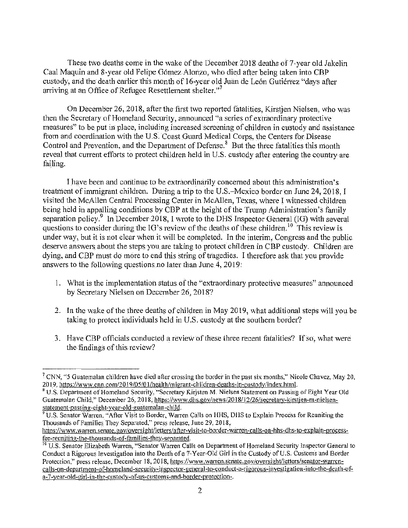These two deaths come in the wake of the December 2018 deaths of 7-year old Jakelin Caal Maquin and 8-year old Felipe-Gómez Alonzo, who died after being taken into CBP custody, and the death earlier this month of 16-year old Juan de León Gutiénez "days after arriving at an Office of Refugee Resettlement shelter. $^{27}$ 

On December 26, 2018, after the first two reported fatalities, Kirstjen Nielsen, who was then the Secretary of Homeland Security, announced "a series of extraordinary protective measures" to be put in place, including increased screening of children in custody and assistance from and coordination with the U.S. Coast Guard Medical Corps, the Centers for Disease Control and Prevention, and the Department of Defense.<sup>8</sup> But the three fatalities this month reveal that current efforts to protect children held in U.S. custody after entering the country are. tailing.

I have been and continue to be extraordinarily concerned about this administration's treatment of immigrant children. During a trip to the U.S.-Mexico border on June 24, 2018, I visited the McAllen Central Processing Center in McAllen, Texas, where I witnessed children being held in appalling conditions by CBP at the height of the Trump Administration's family separation policy.<sup>9</sup> In December 2018, I wrote to the DHS Inspector General (IG) with several questions to consider during the IG's review of the deaths of these children. <sup>10</sup> This review is under way, but it is not clear when it will be completed. In the interim, Congress and the public deserve answers about the steps you are taking to protect children in CBP custody. Children are dying, and CBP must do more to end this string of tragedies. I therefore ask that you provide answers to the following questions no later than June  $4, 2019$ :

- 1. What is the implementation status of the "extraordinary protective measures" announced by Secretary Nielsen on December 26, 2018?
- 2. In the wake of the three deaths of children in May 2019, what additional steps will you be taking to protect individuals held in U.S. custody at the southern border?
- 3. Have CBP officials conducted a review of these three recent fatalities? If so, what were the findings of this review?

<sup>&</sup>lt;sup>7</sup> CNN, "5 Guatemalan children have died after crossing the border in the past six months," Nicole Chavez, May 20,

<sup>2019,</sup> https://www.cnn.com/2019/05/01/health/migrant-children-deaths-in-custody/index.html.<br><sup>8</sup> U.S. Department of Homeland Security, "Secretary Kirjsten M. Nielsen Statement on Passing of Eight Year Old Guatemalan Child," December 26, 2018, https://www.dhs.gov/news/2018/12/26/secretary-kirstjen-m-nielsenstatement-passing-eight-year-old-guatemalan-child.

U.S. Senator Warren, "After Visit to Border, Warren Calls on HHS, DHS to Explain Process for Reuniting the Thousands of Families They Separated," press release, June 29, 2018,

https://www.warren.senate.gov/oversight/letters/after-visit-to-border-warren-calls-on-hhs-dhs-to-explain-processfor-reuniting-the-thousands-of-families-they-separated.

<sup>&</sup>lt;sup>10</sup> U.S. Senator Elizabeth Warren, "Senator Warren Calls on Department of Homeland Security Inspector General to Conduct a Rigorous Investigation into the Death ofa 7-Year-O!d Girl in the Custody of U.S. Customs and Border Protection," press release, December 18, 2018, https://www.warren.senate.gov/oversight/letters/senator-warrencalls-on-department-of-homeland-security-inspector-general-to-conduct-a-rigorous-investigation-into-the-death-ofa-7-year-old-girl-in-the-custody-of-us-customs-and-border-protection-.